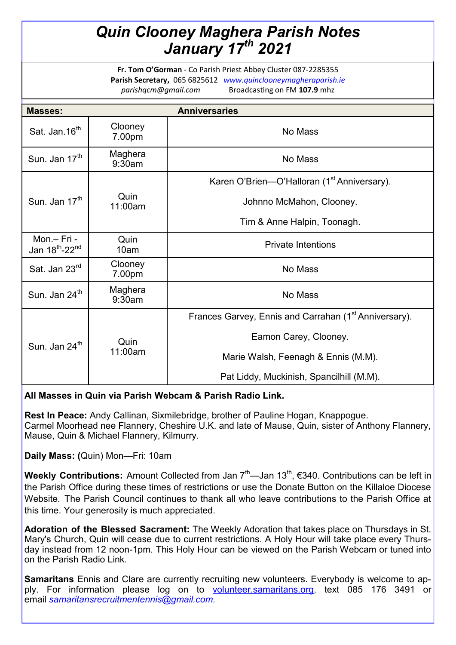## *Quin Clooney Maghera Parish Notes January 17th 2021*

**Fr. Tom O'Gorman** - Co Parish Priest Abbey Cluster 087-2285355 **Parish Secretary,** 065 6825612 *www.quinclooneymagheraparish.ie parishqcm@gmail.com* Broadcasting on FM **107.9** mhz

| <b>Masses:</b>                                        |                   | <b>Anniversaries</b>                                              |
|-------------------------------------------------------|-------------------|-------------------------------------------------------------------|
| Sat. Jan.16 <sup>th</sup>                             | Clooney<br>7.00pm | No Mass                                                           |
| Sun. Jan 17 <sup>th</sup>                             | Maghera<br>9:30am | No Mass                                                           |
| Sun. Jan 17 <sup>th</sup>                             | Quin<br>11:00am   | Karen O'Brien—O'Halloran (1 <sup>st</sup> Anniversary).           |
|                                                       |                   | Johnno McMahon, Clooney.                                          |
|                                                       |                   | Tim & Anne Halpin, Toonagh.                                       |
| Mon.- Fri -<br>Jan 18 <sup>th</sup> -22 <sup>nd</sup> | Quin<br>10am      | <b>Private Intentions</b>                                         |
| Sat. Jan 23rd                                         | Clooney<br>7.00pm | No Mass                                                           |
| Sun. Jan 24 <sup>th</sup>                             | Maghera<br>9:30am | No Mass                                                           |
| Sun. Jan 24 <sup>th</sup>                             | Quin<br>11:00am   | Frances Garvey, Ennis and Carrahan (1 <sup>st</sup> Anniversary). |
|                                                       |                   | Eamon Carey, Clooney.                                             |
|                                                       |                   | Marie Walsh, Feenagh & Ennis (M.M).                               |
|                                                       |                   | Pat Liddy, Muckinish, Spancilhill (M.M).                          |

## **All Masses in Quin via Parish Webcam & Parish Radio Link.**

**Rest In Peace:** Andy Callinan, Sixmilebridge, brother of Pauline Hogan, Knappogue. Carmel Moorhead nee Flannery, Cheshire U.K. and late of Mause, Quin, sister of Anthony Flannery, Mause, Quin & Michael Flannery, Kilmurry.

**Daily Mass: (**Quin) Mon—Fri: 10am

**Weekly Contributions:** Amount Collected from Jan 7<sup>th</sup>—Jan 13<sup>th</sup>, €340. Contributions can be left in the Parish Office during these times of restrictions or use the Donate Button on the Killaloe Diocese Website. The Parish Council continues to thank all who leave contributions to the Parish Office at this time. Your generosity is much appreciated.

**Adoration of the Blessed Sacrament:** The Weekly Adoration that takes place on Thursdays in St. Mary's Church, Quin will cease due to current restrictions. A Holy Hour will take place every Thursday instead from 12 noon-1pm. This Holy Hour can be viewed on the Parish Webcam or tuned into on the Parish Radio Link.

**Samaritans** Ennis and Clare are currently recruiting new volunteers. Everybody is welcome to apply. For information please log on to volunteer samaritans.org, text 085 176 3491 or email *[samaritansrecruitmentennis@gmail.com.](mailto:samaritansrecruitmentennis@gmail.com)*